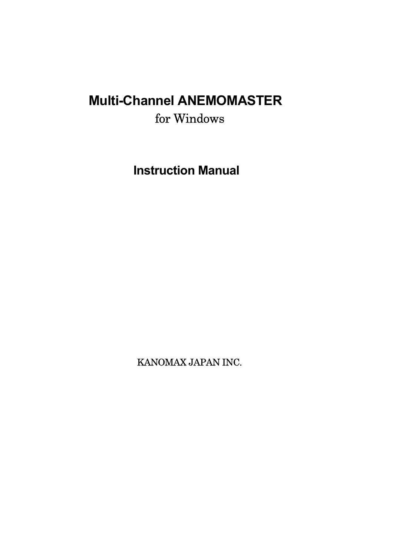# **Multi-Channel ANEMOMASTER**  for Windows

**Instruction Manual** 

KANOMAX JAPAN INC.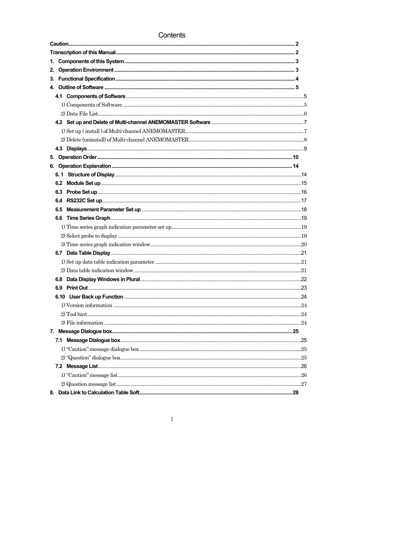## Contents

 $\mathbf{1}$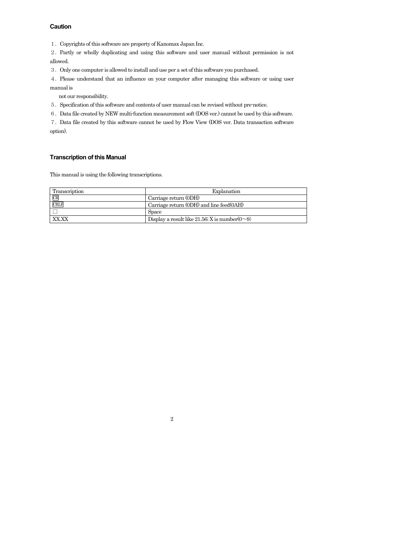## **Caution**

1.Copyrights of this software are property of Kanomax Japan Inc.

2.Partly or wholly duplicating and using this software and user manual without permission is not allowed.

3.Only one computer is allowed to install and use per a set of this software you purchased.

4.Please understand that an influence on your computer after managing this software or using user manual is

not our responsibility.

5.Specification of this software and contents of user manual can be revised without pre-notice.

6.Data file created by NEW multi-function measurement soft (DOS ver.) cannot be used by this software.

7.Data file created by this software cannot be used by Flow View (DOS ver. Data transaction software option).

#### **Transcription of this Manual**

This manual is using the following transcriptions.

| Transcription | Explanation                                         |
|---------------|-----------------------------------------------------|
| CR            | Carriage return (0DH)                               |
| <b>CRLF</b>   | Carriage return (ODH) and line feed(OAH)            |
|               | <b>Space</b>                                        |
|               | Display a result like 21.56; X is number $(0\sim9)$ |

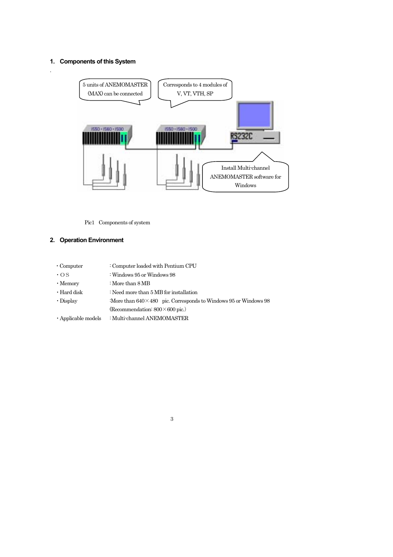## **1. Components of this System**

.



Pic1 Components of system

## **2. Operation Environment**

| $\cdot$ Computer          | : Computer loaded with Pentium CPU                                       |
|---------------------------|--------------------------------------------------------------------------|
| $\cdot$ OS                | : Windows 95 or Windows 98                                               |
| $\cdot$ Memory            | : More than $8\,\mathrm{MB}$                                             |
| $\cdot$ Hard disk         | : Need more than $5 \overline{MB}$ for installation                      |
| $\cdot$ Display           | :More than $640 \times 480$ pic. Corresponds to Windows 95 or Windows 98 |
|                           | (Recommendation: $800 \times 600$ pic.)                                  |
| $\cdot$ Applicable models | : Multi-channel ANEMOMASTER                                              |
|                           |                                                                          |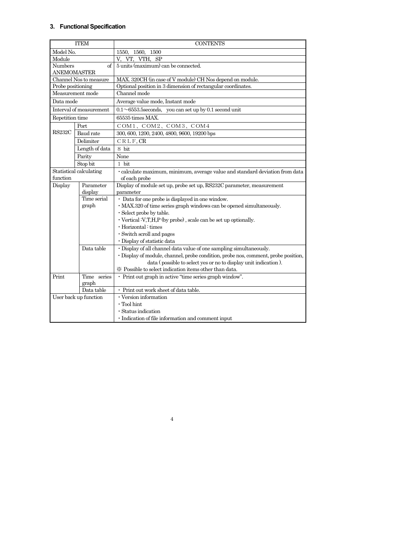## **3. Functional Specification**

|                         | <b>ITEM</b>             | <b>CONTENTS</b>                                                                                                           |  |  |  |  |  |  |
|-------------------------|-------------------------|---------------------------------------------------------------------------------------------------------------------------|--|--|--|--|--|--|
| Model No.               |                         | 1550.<br>1560, 1500                                                                                                       |  |  |  |  |  |  |
| Module                  |                         | V.<br>VT.<br>VTH.<br>SP                                                                                                   |  |  |  |  |  |  |
| <b>Numbers</b>          | of                      | 5 units (maximum) can be connected.                                                                                       |  |  |  |  |  |  |
| ANEMOMASTER             |                         |                                                                                                                           |  |  |  |  |  |  |
|                         | Channel Nos to measure  | MAX. 320CH (in case of V module) CH Nos depend on module.                                                                 |  |  |  |  |  |  |
| Probe positioning       |                         | Optional position in 3 dimension of rectangular coordinates.                                                              |  |  |  |  |  |  |
|                         | Measurement mode        | Channel mode                                                                                                              |  |  |  |  |  |  |
| Data mode               |                         | Average value mode, Instant mode                                                                                          |  |  |  |  |  |  |
|                         | Interval of measurement | $0.1 \sim 6553.5$ seconds, you can set up by 0.1 second unit                                                              |  |  |  |  |  |  |
| Repetition time         |                         | 65535 times MAX.                                                                                                          |  |  |  |  |  |  |
|                         | Port                    | COM1, COM2, COM3, COM4                                                                                                    |  |  |  |  |  |  |
| RS232C                  | Baud rate               | 300, 600, 1200, 2400, 4800, 9600, 19200 bps                                                                               |  |  |  |  |  |  |
|                         | Delimiter               | CRLF.CR                                                                                                                   |  |  |  |  |  |  |
|                         | Length of data          | 8 bit                                                                                                                     |  |  |  |  |  |  |
|                         | Parity                  | None                                                                                                                      |  |  |  |  |  |  |
| Stop bit<br>1 bit       |                         |                                                                                                                           |  |  |  |  |  |  |
| Statistical calculating |                         | · calculate maximum, minimum, average value and standard deviation from data                                              |  |  |  |  |  |  |
| function                |                         | of each probe                                                                                                             |  |  |  |  |  |  |
| Display                 | Parameter               | Display of module set up, probe set up, RS232C parameter, measurement                                                     |  |  |  |  |  |  |
|                         | display                 | parameter                                                                                                                 |  |  |  |  |  |  |
|                         | Time serial             | · Data for one probe is displayed in one window.                                                                          |  |  |  |  |  |  |
|                         | graph                   | · MAX.320 of time series graph windows can be opened simultaneously.                                                      |  |  |  |  |  |  |
|                         |                         | · Select probe by table.                                                                                                  |  |  |  |  |  |  |
|                         |                         | $\cdot$ Vertical :V,T,H,P (by probe), scale can be set up optionally.                                                     |  |  |  |  |  |  |
|                         |                         | $\cdot$ Horizontal : times                                                                                                |  |  |  |  |  |  |
|                         |                         | · Switch scroll and pages                                                                                                 |  |  |  |  |  |  |
|                         |                         | · Display of statistic data                                                                                               |  |  |  |  |  |  |
|                         | Data table              | · Display of all channel data value of one sampling simultaneously.                                                       |  |  |  |  |  |  |
|                         |                         | · Display of module, channel, probe condition, probe nos, comment, probe position,                                        |  |  |  |  |  |  |
|                         |                         | data (possible to select yes or no to display unit indication).<br>* Possible to select indication items other than data. |  |  |  |  |  |  |
| Print                   | Time series             | · Print out graph in active "time series graph window".                                                                   |  |  |  |  |  |  |
|                         | graph                   |                                                                                                                           |  |  |  |  |  |  |
|                         | Data table              | • Print out work sheet of data table.                                                                                     |  |  |  |  |  |  |
|                         | User back up function   | · Version information                                                                                                     |  |  |  |  |  |  |
|                         |                         | $\cdot$ Tool hint                                                                                                         |  |  |  |  |  |  |
|                         |                         | · Status indication                                                                                                       |  |  |  |  |  |  |
|                         |                         | · Indication of file information and comment input                                                                        |  |  |  |  |  |  |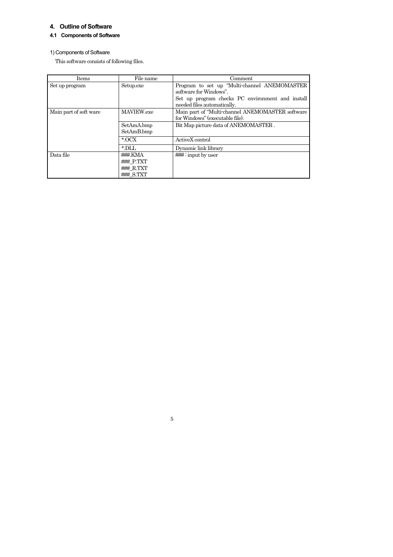## **4. Outline of Software**

## **4.1 Components of Software**

## 1) Components of Software

This software consists of following files.

| Items                  | File name     | Comment                                          |
|------------------------|---------------|--------------------------------------------------|
| Set up program         | Setup.exe     | Program to set up "Multi-channel ANEMOMASTER     |
|                        |               | software for Windows".                           |
|                        |               | Set up program checks PC environment and install |
|                        |               | needed files automatically.                      |
| Main part of soft ware | MAVIEW.exe    | Main part of "Multi-channel ANEMOMASTER software |
|                        |               | for Windows" (executable file).                  |
|                        | SetAmA.bmp    | Bit Map picture data of ANEMOMASTER.             |
|                        | SetAmB.bmp    |                                                  |
|                        | $*$ OCX       | ActiveX control                                  |
|                        | $*$ DLL       | Dynamic link library                             |
| Data file              | ###.KMA       |                                                  |
|                        | $##$ P.TXT    |                                                  |
|                        | $\# \#$ R.TXT |                                                  |
|                        | $#HH$ S.TXT   |                                                  |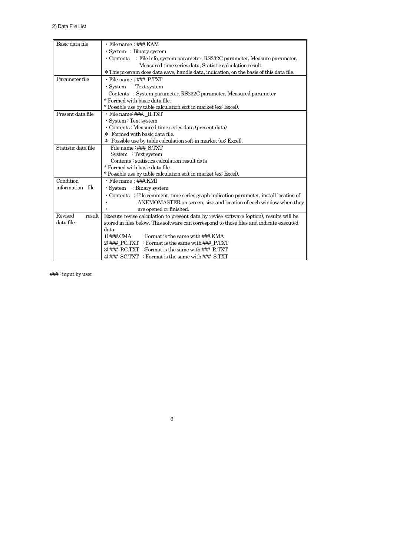| Basic data file     | • File name : ###.KAM                                                                    |
|---------------------|------------------------------------------------------------------------------------------|
|                     | · System : Binary system                                                                 |
|                     | • Contents : File info, system parameter, RS232C parameter, Measure parameter,           |
|                     | Measured time series data, Statistic calculation result                                  |
|                     | *This program does data save, handle data, indication, on the basis of this data file.   |
| Parameter file      | • File name: ### P.TXT                                                                   |
|                     | $\cdot$ System : Text system                                                             |
|                     | Contents: System parameter, RS232C parameter, Measured parameter                         |
|                     | * Formed with basic data file.                                                           |
|                     | * Possible use by table calculation soft in market (ex: Excel).                          |
| Present data file   | • File name: ###. R.TXT                                                                  |
|                     | · System : Text system                                                                   |
|                     | · Contents : Measured time series data (present data)                                    |
|                     | * Formed with basic data file.                                                           |
|                     | * Possible use by table calculation soft in market (ex: Excel).                          |
| Statistic data file | File name: ###_S.TXT                                                                     |
|                     | System : Text system                                                                     |
|                     | Contents: statistics calculation result data                                             |
|                     | * Formed with basic data file.                                                           |
|                     | * Possible use by table calculation soft in market (ex: Excel).                          |
| Condition           | • File name : ###.KMI                                                                    |
| information file    | $\cdot$ System : Binary system                                                           |
|                     | • Contents : File comment, time series graph indication parameter, install location of   |
|                     | ANEMOMASTER on screen, size and location of each window when they                        |
|                     | are opened or finished.                                                                  |
| Revised<br>result   | Execute revise calculation to present data by revise software (option), results will be  |
| data file           | stored in files below. This software can correspond to those files and indicate executed |
|                     | data.                                                                                    |
|                     | 1) $\#$ CMA<br>: Format is the same with ###.KMA                                         |
|                     | 2) $\#$ PC.TXT : Format is the same with $\#$ P.TXT                                      |
|                     | 3) ###_RC.TXT :Format is the same with ###_R.TXT                                         |
|                     | 4) ### SC.TXT : Format is the same with ### S.TXT                                        |

6

### : input by user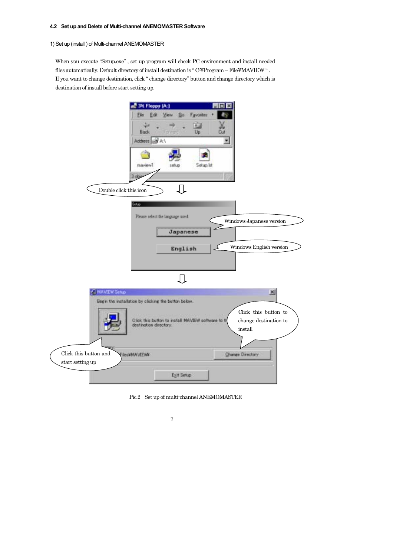#### **4.2 Set up and Delete of Multi-channel ANEMOMASTER Software**

## 1) Set up (install ) of Multi-channel ANEMOMASTER

When you execute "Setup.exe" , set up program will check PC environment and install needed files automatically. Default directory of install destination is " C:¥Program – File¥MAVIEW " . If you want to change destination, click " change directory" button and change directory which is destination of install before start setting up.





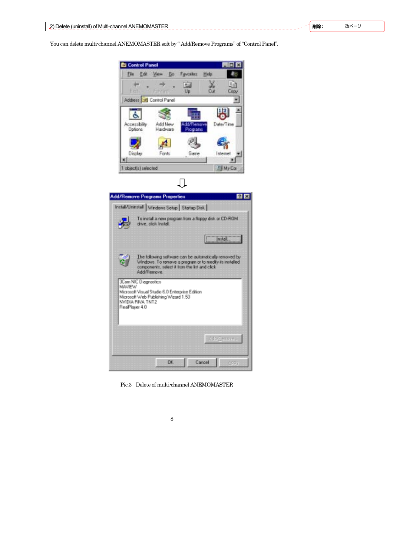You can delete multi-channel ANEMOMASTER soft by " Add/Remove Programs" of "Control Panel".





Pic.3 Delete of multi-channel ANEMOMASTER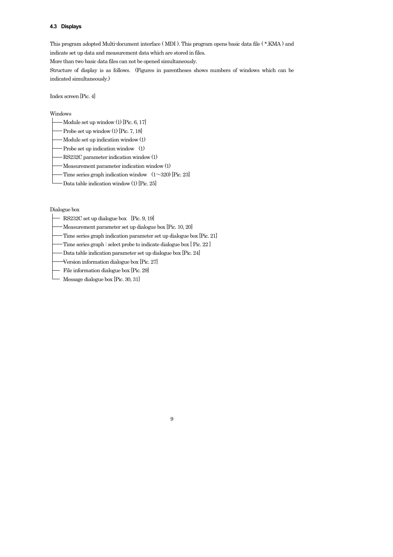#### **4.3 Displays**

This program adopted Multi-document interface ( MDI ). This program opens basic data file ( \*.KMA ) and indicate set up data and measurement data which are stored in files.

More than two basic data files can not be opened simultaneously.

Structure of display is as follows. (Figures in parentheses shows numbers of windows which can be indicated simultaneously.)

9

Index screen [Pic. 4]

#### Windows

- $-Module set up window (1) [Pic. 6, 17]$
- Probe set up window (1) [Pic. 7, 18]
- Module set up indication window (1)
- Probe set up indication window (1)
- RS232C parameter indication window (1)
- Measurement parameter indication window (1)
- Time series graph indication window  $(1\sim)320$  [Pic. 23]
- Data table indication window (1) [Pic. 25]

Dialogue box

- RS232C set up dialogue box [Pic. 9, 19]
- Measurement parameter set up dialogue box [Pic. 10, 20]
- Time series graph indication parameter set up dialogue box [Pic. 21]
- Time series graph : select probe to indicate dialogue box [Pic. 22]
- Data table indication parameter set up dialogue box [Pic. 24]
- Version information dialogue box [Pic. 27]
- File information dialogue box [Pic. 29]
- Message dialogue box [Pic. 30, 31]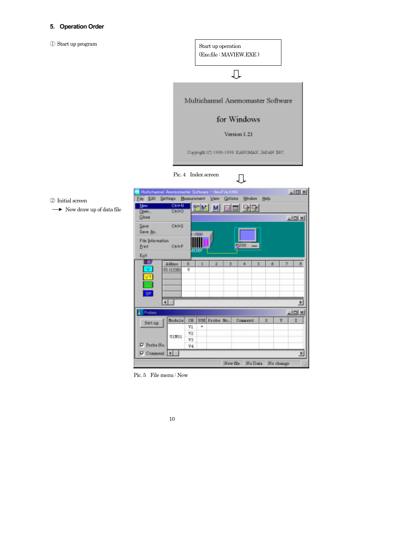## **5. Operation Order**

① Start up program

② Initial screen

 $\rightarrow$  New draw up of data file

Start up operation (Exe.file : MAVIEW.EXE )  $\begin{picture}(20,20) \put(0,0){\dashbox{0.5}(5,0){ }} \thicklines \put(0,0){\dashbox{0.5}(5,0){ }} \thicklines \put(0,0){\dashbox{0.5}(5,0){ }} \thicklines \put(0,0){\dashbox{0.5}(5,0){ }} \thicklines \put(0,0){\dashbox{0.5}(5,0){ }} \thicklines \put(0,0){\dashbox{0.5}(5,0){ }} \thicklines \put(0,0){\dashbox{0.5}(5,0){ }} \thicklines \put(0,0){\dashbox{0.5}(5,0){ }} \thicklines \put(0,0){\dashbox{0.5}(5,$ Multichannel Anemomaster Software for Windows Version 1.21 Copyright (C) 1998-1999 КАNOMAX JAPAN INC. Pic. 4 Index screen 几 Multichennel Anen **LIDIX** Eile Edit Settings Measurement View Options Window Help **New** Other  $\log_{10}$ M 雨而 马马 Otho Open.  $Q$ lose <u>니미지</u> Otri+S Save Save As. File Information  $OnP$ Print  $E_{\rm E}it$ □■  $\frac{\text{Adbres}}{\text{GL}(1550)}$  $\tau$  $\sqrt{8}$  $\sqrt{a}$  $\ddot{\phantom{a}}$ 5  $\delta$  $5F$ ना F **Probes** 니미치 Module CH USE Probe No.  $Counter$ X Y ž Setup  $71\,$ 72 ULMO1 Y3  $\nabla$  Probe No.  $V4$  $\nabla$  Connent  $\boxed{\leftarrow}$ × New file No Data No change

Pic. 5 File menu : New

|  | ۰.<br>٧ |  |
|--|---------|--|
|  |         |  |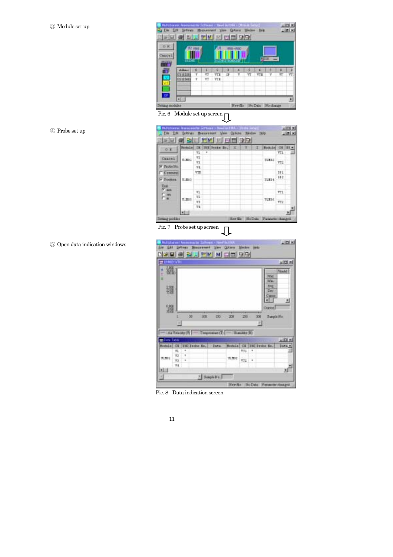| <b>Muturianni Ar</b>  | 巴门                             |                      |           |   | ※ ※ ※ 日面 少早 |   | <b>Here</b>         |   |    |
|-----------------------|--------------------------------|----------------------|-----------|---|-------------|---|---------------------|---|----|
| OR.<br>heroe 1<br>--- | <b>AT 27.00</b>                |                      |           |   |             |   |                     |   |    |
| ÷                     | Abres<br>ITI (1358)<br>0211568 | V <sub>1</sub><br>VI | ŦП<br>FT. | Ω |             | v | VТB                 | ¥ | VI |
| 521<br>Setaug nodelse | $\blacksquare$                 |                      |           |   |             |   | Herda HoDga Nochaus |   |    |

| <b>Hutscheiner Announceder Schleiner</b><br><b>Electrical</b><br><b>EN 3 9 9 7 7 8 8 9 9 9 9 9 9 9 8 9 8 9 9 8 9 9 8 9 8 9 8 9 8 9 8 9 8 9 8 9 8 9 8 9 8 9 8 9 8 9 8 9 8 9 8 9 8 9</b> | Settings            |           | <b>Mousswanner</b> | View.            |   | r Mil. – Histor social<br>Options Wednes Help |   |                                  |            |   |
|----------------------------------------------------------------------------------------------------------------------------------------------------------------------------------------|---------------------|-----------|--------------------|------------------|---|-----------------------------------------------|---|----------------------------------|------------|---|
| OF.                                                                                                                                                                                    | Bodulz <sup>1</sup> |           |                    | ER USE Poste Boy | × |                                               | τ | <b>Rodule</b>                    | œ          | ш |
|                                                                                                                                                                                        |                     | v.        | $\overline{a}$     |                  |   |                                               |   |                                  | VI).       |   |
| Cause L.                                                                                                                                                                               | <b>DOMEST</b>       | 17        | $\sim$             |                  |   |                                               |   | <b>SURRE</b>                     |            |   |
| <b>P Pulletto</b>                                                                                                                                                                      |                     | 'n<br>tit |                    |                  |   |                                               |   |                                  | 772        |   |
| Cenners:                                                                                                                                                                               |                     | VIH       |                    |                  |   |                                               |   |                                  | SEL.       |   |
| P Postes                                                                                                                                                                               | 01803               |           |                    |                  |   |                                               |   | 11314                            | 392        |   |
| Unit:                                                                                                                                                                                  |                     |           |                    |                  |   |                                               |   |                                  |            |   |
| <sup>ST</sup> and                                                                                                                                                                      |                     | Y1        |                    |                  |   |                                               |   |                                  | mι         |   |
| FШ                                                                                                                                                                                     | <b>ULBOS</b>        | V1        |                    |                  |   |                                               |   |                                  |            |   |
|                                                                                                                                                                                        |                     | 83        |                    |                  |   |                                               |   | TURNS                            | <b>TTZ</b> |   |
|                                                                                                                                                                                        |                     | 14        |                    |                  |   |                                               |   |                                  |            |   |
|                                                                                                                                                                                        | <b>MEIL</b>         |           |                    |                  |   |                                               |   |                                  |            |   |
| <b>Betwar problem</b>                                                                                                                                                                  |                     |           |                    |                  |   |                                               |   | Her fis So Dets Funneter changed |            |   |

Pic. 7 Probe set up screen  $\overline{\mathbb{L}}$ 

 $\frac{1}{2}$   $\frac{1}{2}$   $\frac{1}{2}$ EM Edit **Seit Golfman Media** w District @ B/ **ALLEY MILLION** 뇌미치 Ξ 溫 ł **Wash!** Me<br>Me Ang 籀 ×. 調 Davor  $120$ ä in 200 **COL**  $300$ **Burgle Ro** H  $-10$ Handardo) Air Tida (da (T)  $\frac{1}{2}$ пī Jura # stale) **CI THE Frobe Bu. Tars** tale IX THE Frains Be  $\ddot{\cdot}$  $\frac{1}{2}$ 性物性  $_{\rm unrec}$   $_{\rm vrr}$  . tums ď **NEG** <sup>2</sup> Salph No T œ New Re No Date Permeter dosages

Pic. 8 Data indication screen

| . . |  |
|-----|--|
|     |  |



⑤ Open data indication windows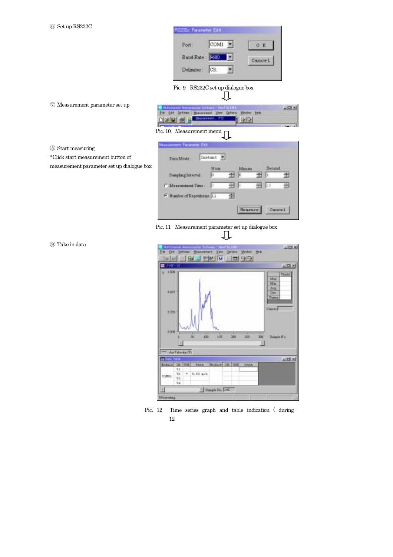| RS232c Parameter Edit |      |         |
|-----------------------|------|---------|
| Port:                 | COMI |         |
| Boud Rate: 3600       |      | Cance I |
| Delimiter:            | CR.  |         |

Pic. 9 RS232C set up dialogue box

Л

⑦ Measurement parameter set up

\*Click start measurement button of

measurement parameter set up dialogue box

|  | <b>B. Harchard Amonsolie School - Next to LNA</b> |  |  |  |
|--|---------------------------------------------------|--|--|--|
|  | Etc Etc Schem Museument Vere Grien Weder this     |  |  |  |
|  | <b>DISK &amp; BELLEVILLE &amp; BELLEVILLE</b>     |  |  |  |

Pic. 10 Measurement menu

⑧ Start measuring

**Measurement Faris** Instant F Data Mode Hou Minute 田 田田 Simpling Internal  $\sqrt{6}$ ₩ E 田 国口 굘 C. Meanment Time Б G Number of Repetitions: [1] 囹 Hearure Cancel

Pic. 11 Measurement parameter set up dialogue box

⑨ Take in data



12 Pic. 12 Time series graph and table indication ( during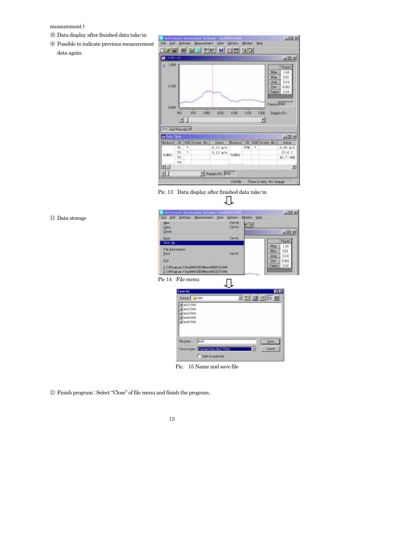#### measurement )

- ⑩ Data display after finished data take-in
- ※ Possible to indicate previous measurement data again.

| जाना-ज                       |                  |                        |               |         |                |      |   |                                    | $=1018$                                                    |
|------------------------------|------------------|------------------------|---------------|---------|----------------|------|---|------------------------------------|------------------------------------------------------------|
| $1000 -$<br>0.000            |                  |                        | OS.           |         |                |      |   | Maz<br>Mm<br>A <sub>7</sub><br>Dee | <b>TEmitt</b><br>134<br>bit<br>BJ4<br>1003<br>Digeor 11.14 |
| 0.000                        | 981              | $\left  \cdot \right $ | 990<br>1000   | 1858    | 1100           | 1130 |   | Cascas 2020<br>1308<br>츼           | Sample Ho.                                                 |
|                              | :Air Felaigy (F) |                        |               |         |                |      |   |                                    |                                                            |
| 11 Des Tale<br><b>Budule</b> | œ                |                        |               | Darte.  | <b>Estable</b> | m    |   |                                    | 지미성<br>Data                                                |
|                              | 71               | ٠                      | TIE Frabe Br. | 3.12.67 |                | VIII | ۳ | EM Praise Ho.                      | 3.09 k/s                                                   |
|                              | 72               | ٠                      |               | 9.13.87 |                |      |   |                                    | 27.6 E                                                     |
| <b>DIMIL</b>                 | wa<br>74.4       |                        |               |         | tuma           |      |   |                                    | 45.7 VRK                                                   |

 Pic. 13 Data display after finished data take-in 几

| 11) Data storage | Ein Ett Schnes Hessasswel Ven<br>Options<br>Colett<br><b>Simus</b>                 | Widow Holz-                 |
|------------------|------------------------------------------------------------------------------------|-----------------------------|
|                  | Chiro<br>Open.                                                                     | 胆                           |
|                  | Cluse                                                                              | 同国区                         |
|                  | <b>CHAS</b><br>Sant Br.                                                            | Visikl                      |
|                  | File Schormshire                                                                   | Mar<br>134                  |
|                  | OHH<br>frow.                                                                       | Min.<br>UIL<br>0.14<br>Ang: |
|                  | <b>Egit</b>                                                                        | Dec<br>0.062                |
|                  | 1. Califyzarion: FilmshipMAUED@aux080818.K3%A<br>2 OWNSELL FROM MANESWALKSTZZTANIA | Owne 0.34                   |
|                  | Pic 14 File menu                                                                   |                             |
|                  | <b>Lave Av</b>                                                                     | EE                          |
|                  | Seem Jose                                                                          | 国内团团团                       |
|                  | in test OW                                                                         |                             |



Pic. 15 Name and save file

⑫ Finish program : Select "Close" of file menu and finish the program.

| I  |
|----|
| ۰, |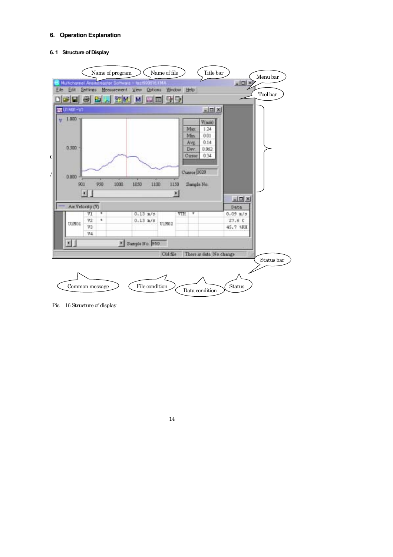#### **6. Operation Explanation**

## **6. 1 Structure of Display**



Pic. 16 Structure of display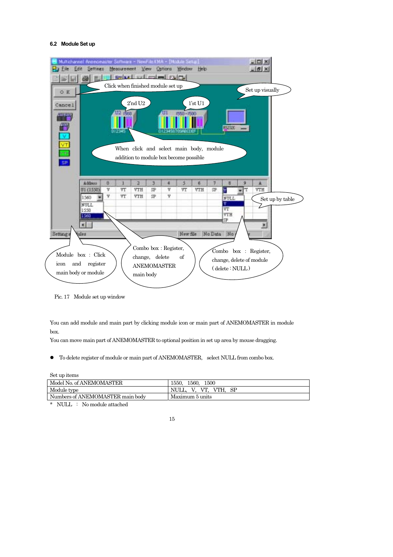#### **6.2 Module Set up**



Pic. 17 Module set up window

You can add module and main part by clicking module icon or main part of ANEMOMASTER in module box.

You can move main part of ANEMOMASTER to optional position in set up area by mouse dragging.

z To delete register of module or main part of ANEMOMASTER, select NULL from combo box.

Set up items

| Model No. of ANEMOMASTER         | 1550.<br>1560.<br>1500 |
|----------------------------------|------------------------|
| Module type                      | VT.<br>VTH.            |
| Numbers of ANEMOMASTER main body | Maximum 5 units        |

\* NULL : No module attached

<sup>15</sup>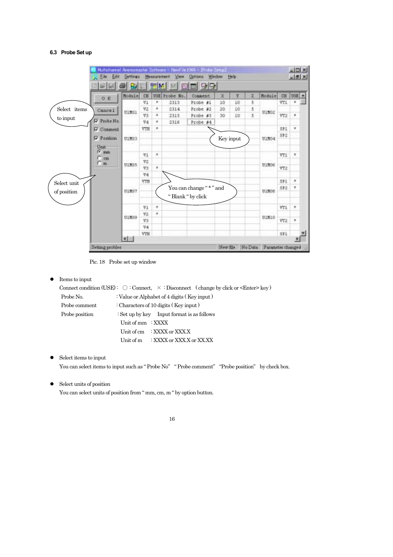## **6.3 Probe Set up**

|              | 0.8                  | Module | CH             |        | USE Probe No.     | 미 만단<br>Comment        | ×         | Y  | z | Module | CH  | USE<br>٠    |
|--------------|----------------------|--------|----------------|--------|-------------------|------------------------|-----------|----|---|--------|-----|-------------|
|              |                      |        | V1             | ٠      | 2313              | Probe #1               | 10        | 10 | 5 |        | YT1 | ٠           |
| Select items | Cancel               | UIMD1  | V2             | ٠      | 2314              | Probe #2               | 20        | 10 | 5 | U1N02  |     |             |
| to input     |                      |        | V3             | ٠      | 2315              | Probe #3               | 30        | 10 | 5 |        | VT2 | ٠           |
|              | Probe No.            |        | V4             | ٠      | 2316              | Probe #4               |           |    |   |        |     |             |
|              | V Connent            |        | VTH            | ٠      |                   |                        |           |    |   |        | SPI | ٠           |
|              | <b>P</b> Fosition    | ULMD3  |                |        |                   |                        | Key input |    |   | U1MD4  | 5P2 |             |
|              | Unit                 |        |                |        |                   |                        |           |    |   |        |     |             |
|              | $G$ and              |        | V1             | ×      |                   |                        |           |    |   |        | YT1 | ×           |
|              | $C$ on<br>$\Gamma$ m |        | VZ             |        |                   |                        |           |    |   |        |     |             |
|              |                      | UIMDS  | V3             | ۰      |                   |                        |           |    |   | UINDS  | VT2 |             |
|              |                      |        | V4             |        |                   |                        |           |    |   |        |     |             |
| Select unit  |                      |        | VTH            |        |                   |                        |           |    |   |        | SP1 | $\pmb{\pi}$ |
|              |                      | U1N07  |                |        |                   | You can change "*" and |           |    |   | UIMOS  | 5P2 | r           |
| of position  |                      |        |                |        | "Blank " by click |                        |           |    |   |        |     |             |
|              |                      |        | $v_1$          | $\tau$ |                   |                        |           |    |   |        | V71 | $\pmb{\pi}$ |
|              |                      |        | V <sub>2</sub> | ۰      |                   |                        |           |    |   |        |     |             |
|              |                      | UlMO9  | VЗ             |        |                   |                        |           |    |   | UIMIO  | VT2 | ٠           |
|              |                      |        | V4             |        |                   |                        |           |    |   |        |     |             |
|              |                      |        | VIH            |        |                   |                        |           |    |   |        | 571 |             |

Pic. 18 Probe set up window

## $\bullet$  Items to input

|                |                   |                                                  | Connect condition (USE): $\bigcirc$ : Connect, $\times$ : Disconnect (change by click or <enter> key)</enter> |
|----------------|-------------------|--------------------------------------------------|---------------------------------------------------------------------------------------------------------------|
| Probe No.      |                   | : Value or Alphabet of 4 digits (Key input)      |                                                                                                               |
| Probe comment  |                   | : Characters of 10 digits (Key input)            |                                                                                                               |
| Probe position |                   | $\div$ Set up by key Input format is as follows  |                                                                                                               |
|                | Unit of mm : XXXX |                                                  |                                                                                                               |
|                |                   | Unit of cm $\therefore$ XXXX or XXX.X            |                                                                                                               |
|                |                   | Unit of $m = \frac{1}{2}$ XXXX or XXX.X or XX.XX |                                                                                                               |
|                |                   |                                                  |                                                                                                               |

 $\bullet$  Select items to input

You can select items to input such as "Probe No" "Probe comment" "Probe position" by check box.

 $\bullet$  Select units of position

You can select units of position from " mm, cm, m " by option button.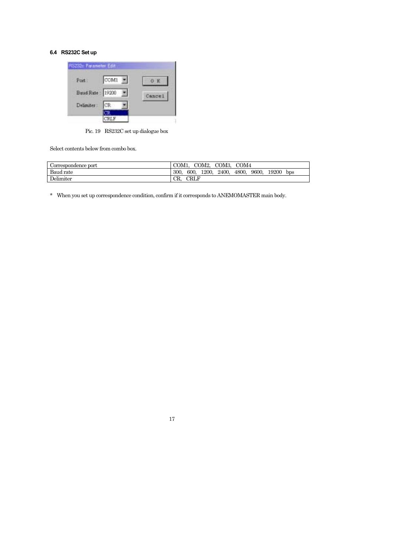## **6.4 RS232C Set up**



Pic. 19 RS232C set up dialogue box

Select contents below from combo box.

| Correspondence port | COM <sub>1</sub><br>COM2, COM3, COM4                             |
|---------------------|------------------------------------------------------------------|
| Baud rate           | 9600.<br>600.<br>4800.<br>19200<br>300.<br>1200.<br>2400.<br>bps |
| Delimiter           | <b>CRLF</b><br>CR.                                               |

\* When you set up correspondence condition, confirm if it corresponds to ANEMOMASTER main body.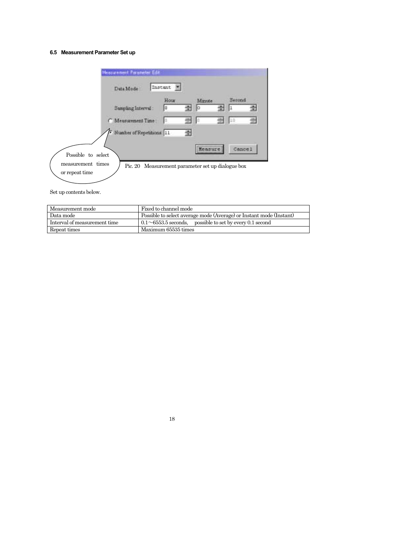## **6.5 Measurement Parameter Set up**

| Measurement Parameter Edit                                                                                     |           |   |              |        |  |
|----------------------------------------------------------------------------------------------------------------|-----------|---|--------------|--------|--|
| Data Mode                                                                                                      | Instant + |   |              |        |  |
| Sampling Interval:                                                                                             | Hour      |   | Minute<br>lЮ | Serond |  |
| C Measurement Time:                                                                                            |           |   |              | 10     |  |
| Number of Repetitions: 11                                                                                      |           | ÷ |              |        |  |
| Possible to select<br>measurement times<br>Pic. 20 Measurement parameter set up dialogue box<br>or repeat time |           |   | Measure      | Cancel |  |

Set up contents below.

| Measurement mode             | Fixed to channel mode                                               |
|------------------------------|---------------------------------------------------------------------|
| Data mode                    | Possible to select average mode (Average) or Instant mode (Instant) |
| Interval of measurement time | $0.1 \sim 6553.5$ seconds, possible to set by every 0.1 second      |
| Repeat times                 | Maximum 65535 times                                                 |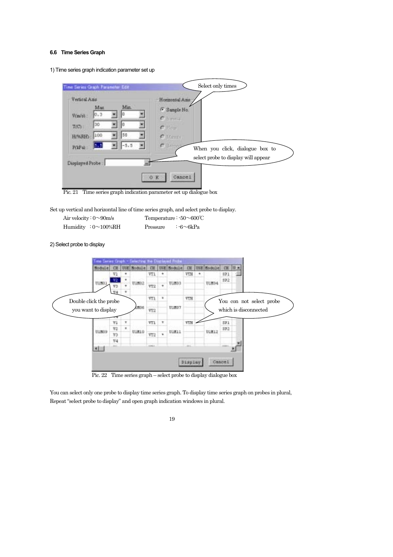#### **6.6 Time Series Graph**

1) Time series graph indication parameter set up

| Time Series Graph Parameter Edit<br>Vertical Ams             | Homzontal Ams                                           |
|--------------------------------------------------------------|---------------------------------------------------------|
| Min.<br>Max<br>IO. 3<br>Vision:<br>30<br>T(C)                | <sup>6</sup> Sample No.<br>C. limma<br>C Heur.          |
| 50<br>100<br>H/%RH)<br>$-5.5$<br>$P(\mathbf{1}P \mathbf{d})$ | $C$ items.<br>C SHOP<br>When you click, dialogue box to |
| Displayed Probe                                              | select probe to display will appear                     |

Pic. 21 Time series graph indication parameter set up dialogue box

Set up vertical and horizontal line of time series graph, and select probe to display.

| Air velocity: $0\sim 90$ m/s | Temperature: $-50\sim600^{\circ}$ C |
|------------------------------|-------------------------------------|
| Humidity : $0 \sim 100\% RH$ | : $-6 \sim 6kPa$<br>Pressure        |

2) Select probe to display



Pic. 22 Time series graph – select probe to display dialogue box

You can select only one probe to display time series graph. To display time series graph on probes in plural, Repeat "select probe to display" and open graph indication windows in plural.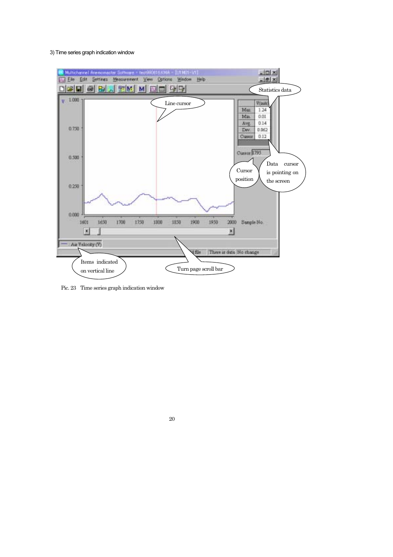#### 3) Time series graph indication window



Pic. 23 Time series graph indication window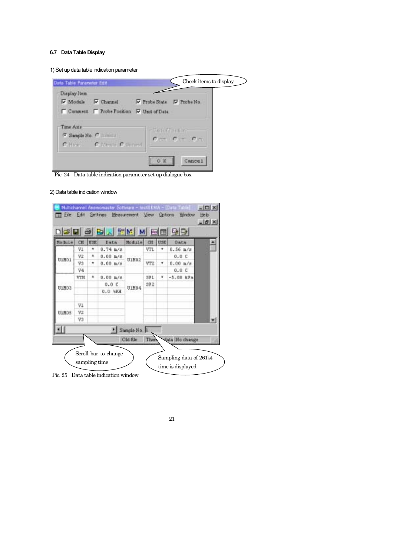## **6.7 Data Table Display**

1) Set up data table indication parameter



Pic. 24 Data table indication parameter set up dialogue box

2) Data table indication window

| Data               | <b>USE</b> | CH          | Module       | Data               | USE | CH  | Module |
|--------------------|------------|-------------|--------------|--------------------|-----|-----|--------|
| $0.56 \text{ m/s}$ | ۰          | VT1         |              | 0.74 h/s           | ٠   | V1  |        |
| 0.0C               |            |             | U1M02        | $0.00 \text{ m/s}$ | ٠   | V2  | U1M01  |
| $0.00 \pm 18$      | ۰          | VT2         |              | 0.00 h/s           | ٠   | V3  |        |
| 0.0C               |            |             |              |                    |     | V4  |        |
| $-5,00$ kFa        | ٠          | SPI         |              | $0.00 \text{ m/s}$ | ٠   | VIH |        |
|                    |            | 392         | U1M04        | 0.0C               |     |     | UIMD3  |
|                    |            |             |              | 0.0 19H            |     |     |        |
|                    |            |             |              |                    |     | VI  |        |
|                    |            |             |              |                    |     | V2  | UIMOS  |
|                    |            |             |              |                    |     | V3  |        |
|                    |            |             | Sample No. 1 |                    |     |     |        |
| data No change     |            | <b>Then</b> | Old file     |                    |     |     |        |

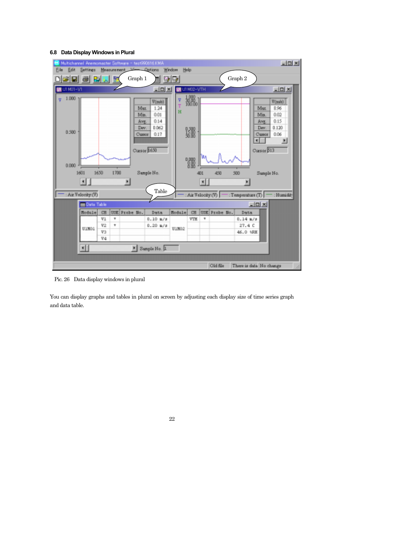#### **6.8 Data Display Windows in Plural**



Pic. 26 Data display windows in plural

You can display graphs and tables in plural on screen by adjusting each display size of time series graph and data table.

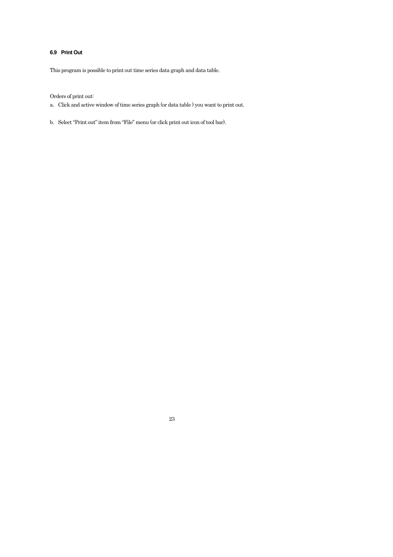## **6.9 Print Out**

This program is possible to print out time series data graph and data table.

## Orders of print out:

- a. Click and active window of time series graph (or data table ) you want to print out.
- b. Select "Print out" item from "File" menu (or click print out icon of tool bar).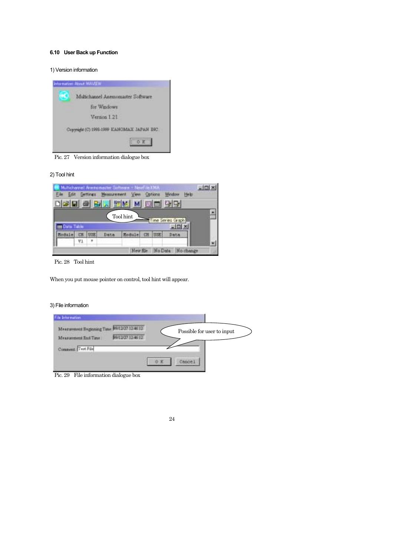## **6.10 User Back up Function**

1) Version information



Pic. 27 Version information dialogue box

#### 2) Tool hint

|                       |    | Cattungs | <b>MARCLER EVAN</b> | Multichannel Anemoreader Software - NewFile KMA<br>View |   | Options        | Window | <b>Help</b> |   |
|-----------------------|----|----------|---------------------|---------------------------------------------------------|---|----------------|--------|-------------|---|
|                       |    |          |                     |                                                         | 畐 | 画              | 马马     |             |   |
|                       |    |          |                     | Tool hint                                               |   |                |        |             |   |
| <b>III Data Table</b> |    |          |                     |                                                         |   | <b>Iffer</b>   |        |             |   |
| Module                | СĦ | USE      | Data                | <b>Hodule</b>                                           |   | ua             |        |             |   |
|                       | V. | ÷        |                     |                                                         |   |                |        |             |   |
|                       |    |          |                     | New file                                                |   | <b>No Date</b> |        | No change   | n |

Pic. 28 Tool hint

When you put mouse pointer on control, tool hint will appear.

## 3) File information

| File Information                             |   |                            |  |
|----------------------------------------------|---|----------------------------|--|
| Measurement Beginning Time 00/12/27 12:40 12 |   | Possible for user to input |  |
| 99/12/27 12:46:12<br>Measurement End Time    |   |                            |  |
| Comment Test Fde                             |   |                            |  |
|                                              | æ | Cance)                     |  |
|                                              |   |                            |  |

Pic. 29 File information dialogue box

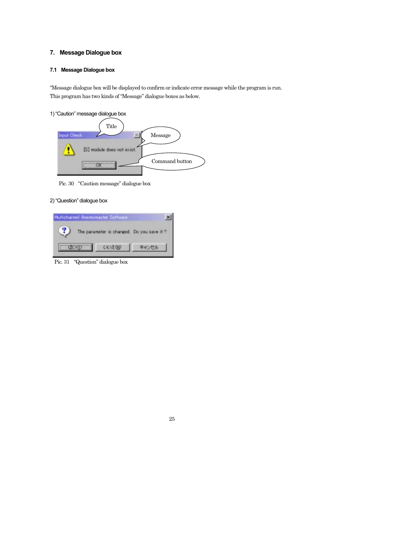## **7. Message Dialogue box**

## **7.1 Message Dialogue box**

"Message dialogue box will be displayed to confirm or indicate error message while the program is run. This program has two kinds of "Message" dialogue boxes as below.

1) "Caution" message dialogue box



Pic. 30 "Caution message" dialogue box

## 2) "Question" dialogue box

| Multichannel Anemomenter Schwai |        |                                           |
|---------------------------------|--------|-------------------------------------------|
|                                 |        | The parameter is changed. Do you save it? |
|                                 | 641200 | キャンセル                                     |

Pic. 31 "Question" dialogue box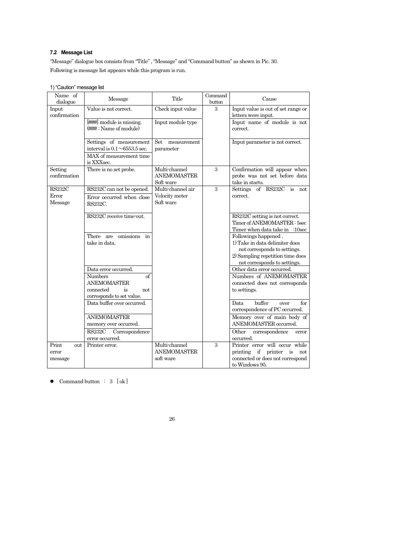## **7.2 Message List**

"Message" dialogue box consists from "Title" , "Message" and "Command button" as shown in Pic. 30. Following is message list appears while this program is run.

| Name of<br>dialogue               | Message                                                                                                                       | Title                                            | Command<br>button | Cause                                                                                                                                                      |
|-----------------------------------|-------------------------------------------------------------------------------------------------------------------------------|--------------------------------------------------|-------------------|------------------------------------------------------------------------------------------------------------------------------------------------------------|
| Input<br>confirmation             | Value is not correct.                                                                                                         | Check input value                                | 3                 | Input value is out of set range or<br>letters were input.                                                                                                  |
|                                   | [###] module is missing.<br>(###: Name of module)                                                                             | Input module type                                |                   | Input name of module is not<br>correct.                                                                                                                    |
|                                   | Settings of measurement<br>interval is $0.1 \sim 6553.5$ sec.<br>MAX of measurement time<br>is XXXsec.                        | Set<br>measurement<br>parameter                  |                   | Input parameter is not correct.                                                                                                                            |
| Setting<br>confirmation           | There is no set probe.                                                                                                        | Multi-channel<br><b>ANEMOMASTER</b><br>Soft ware | 3                 | Confirmation will appear when<br>probe was not set before data<br>take in starts.                                                                          |
| <b>RS232C</b><br>Error<br>Message | RS232C can not be opened.<br>Error occurred when close<br>RS232C.                                                             | Multi-channel air<br>Velocity meter<br>Soft ware | 3                 | Settings of RS232C is not<br>correct.                                                                                                                      |
|                                   | RS232C receive time-out.                                                                                                      |                                                  |                   | RS232C setting is not correct.<br>Timer of ANEMOMASTER: 5sec<br>Timer when data take in :10sec                                                             |
|                                   | There are omissions in<br>take in data.                                                                                       |                                                  |                   | Followings happened.<br>1) Take in data delimiter does<br>not corresponds to settings.<br>2) Sampling repetition time does<br>not corresponds to settings. |
|                                   | Data error occurred.<br>Numbers<br><sub>of</sub><br><b>ANEMOMASTER</b><br>connected<br>is<br>not<br>corresponds to set value. |                                                  |                   | Other data error occurred.<br>Numbers of ANEMOMASTER<br>connected does not corresponds<br>to settings.                                                     |
|                                   | Data buffer over occurred.                                                                                                    |                                                  |                   | buffer<br>Data<br>for<br>over<br>correspondence of PC occurred.                                                                                            |
|                                   | <b>ANEMOMASTER</b><br>memory over occurred.                                                                                   |                                                  |                   | Memory over of main body of<br>ANEMOMASTER occurred.                                                                                                       |
|                                   | <b>RS232C</b><br>Correspondence<br>error occurred.                                                                            |                                                  |                   | Other<br>correspondence<br>error<br>occurred.                                                                                                              |
| Print<br>out<br>error<br>message  | Printer error.                                                                                                                | Multi-channel<br><b>ANEMOMASTER</b><br>soft ware | 3                 | Printer error will occur while<br>printing if printer is<br>not<br>connected or does not correspond<br>to Windows 95.                                      |

#### 1) "Caution" message list

 $\bullet$  Command button : 3 [ ok ]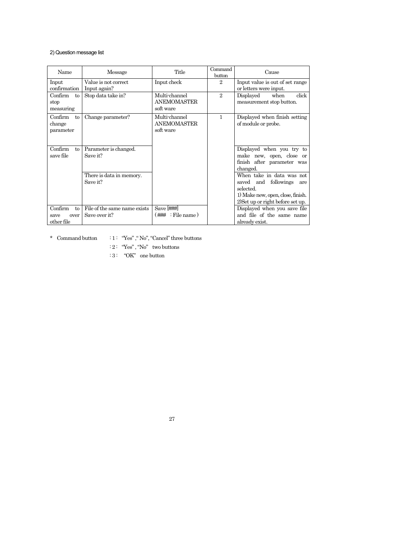## 2) Question message list

| Name                                                  | Message                                       | Title                                            | Command<br>button | Cause                                                                                                                                           |
|-------------------------------------------------------|-----------------------------------------------|--------------------------------------------------|-------------------|-------------------------------------------------------------------------------------------------------------------------------------------------|
| Input<br>confirmation                                 | Value is not correct<br>Input again?          | Input check                                      | $\mathfrak{D}$    | Input value is out of set range<br>or letters were input.                                                                                       |
| Confirm<br>tο<br>stop<br>measuring                    | Stop data take in?                            | Multi-channel<br><b>ANEMOMASTER</b><br>soft ware | $\mathfrak{D}$    | click<br>Displayed<br>when<br>measurement stop button.                                                                                          |
| Confirm<br>to<br>change<br>parameter                  | Change parameter?                             | Multi-channel<br><b>ANEMOMASTER</b><br>soft ware | 1                 | Displayed when finish setting<br>of module or probe.                                                                                            |
| Confirm<br>to<br>save file                            | Parameter is changed.<br>Save it?             |                                                  |                   | Displayed when you try to<br>make new, open, close or<br>finish after parameter was<br>changed.                                                 |
|                                                       | There is data in memory.<br>Save it?          |                                                  |                   | When take in data was not<br>saved and followings<br>are<br>selected.<br>1) Make new, open, close, finish.<br>2) Set up or right before set up. |
| Confirm<br>$t_{\Omega}$<br>over<br>save<br>other file | File of the same name exists<br>Save over it? | Save [###]<br>: File name)<br>(###               |                   | Displayed when you save file<br>and file of the same name<br>already exist.                                                                     |

 $*$  Command button  $\qquad: 1: \text{ ``Yes''}, \text{``No''}, \text{``Cance''}$  three buttons

: 2 : "Yes" , "No" two buttons

:  $3:$  "OK" one button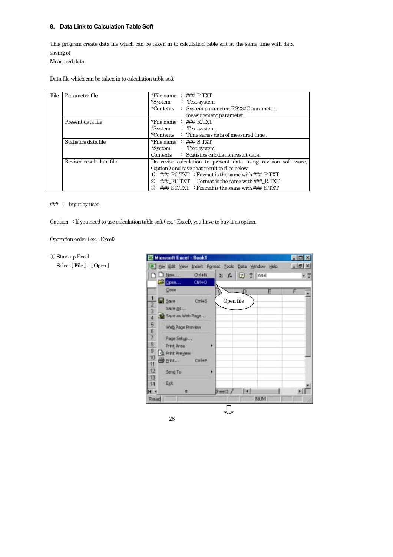## **8. Data Link to Calculation Table Soft**

This program create data file which can be taken in to calculation table soft at the same time with data saving of

Measured data.

Data file which can be taken in to calculation table soft

| File | Parameter file           | *File name $: \#H \to P.TXT$                                    |
|------|--------------------------|-----------------------------------------------------------------|
|      |                          | $:$ Text system<br>*System                                      |
|      |                          | *Contents<br>: System parameter, RS232C parameter,              |
|      |                          | measurement parameter.                                          |
|      | Present data file        | *File name $: \#H\# R.TXT$                                      |
|      |                          | *System<br>$:$ Text system                                      |
|      |                          | *Contents $\therefore$ Time series data of measured time.       |
|      | Statistics data file     | *File name $:$ ### S.TXT                                        |
|      |                          | *System<br>$:$ Text system                                      |
|      |                          | Contents : Statistics calculation result data.                  |
|      | Revised result data file | Do revise calculation to present data using revision soft ware, |
|      |                          | (option) and save that result to files below                    |
|      |                          | ### PC.TXT : Format is the same with ### P.TXT                  |
|      |                          | 2)<br>### RC.TXT : Format is the same with ### R.TXT            |
|      |                          | 3)<br>### SC.TXT : Format is the same with ### S.TXT            |

### : Input by user

① Start up Excel

Caution : If you need to use calculation table soft ( ex. : Excel), you have to buy it as option.

Operation order ( ex. : Excel)

Select [ File ] – [ Open ]

**ET Microsoft Excel - Book1** EDK [8] the Edit Yew Insert Format Tools Data Window Help  $=$  $|B|$   $\times$ **D** D New  $QxH+N$  $\Sigma$   $f_*$   $\Box$  $\frac{39}{2}$  Ariol - 2 Com.  $ChH + O$ Close z **B** Save  $C<sub>0</sub>$ H<sub>5</sub> Open file  $\overline{2}$ Save As... 3 Save as Web Page...  $\overline{4}$ 5 Web Page Preview  $\sqrt{6}$ 7 Page Setyp...  $\sqrt{8}$ Print<sub>Area</sub> ï  $\overline{9}$ A Print Preview  $10$ **B** Birt...  $CbHP$  $11$  $12$ Send To ۱  $13$ Egit  $14$ Tisi  $\overline{H}$ ¥ Sheet3 / ٠H NUM Read 几

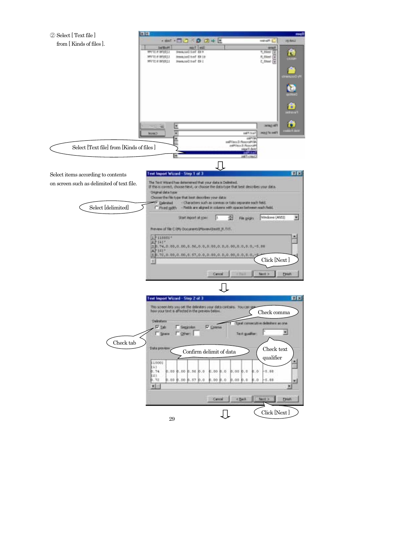